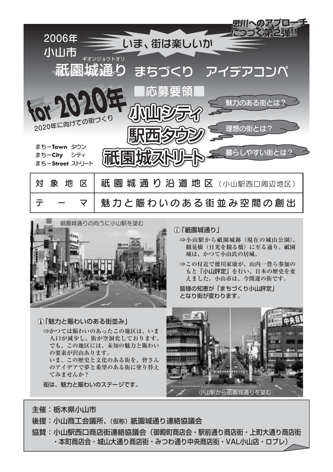



## 1「魅力と賑わいのある街並み」

⇒かつては賑わいのあったこの地区は、いま 人口が減少し、街が空洞化しております。 でも、この地区には、未知の魅力と賑わい の要素が沢山あります。 いま、この歴史と文化のある街を、皆さん のアイデアで夢と希望のある街に塗り替え てみませんか?

街は、魅力と賑わいのステージです。

### (i) 「祇園城通り」

⇒小山駅から祇園城跡 (現在の城山公園)、 観晃橋(日光を観る橋)に至る通り。祇園 城は、かつて小山氏の居城。

⇒この付近で徳川家康が、山内一豊ら参加の もと「小山評定」を行い、日本の歴史を変 えました。小山市は、今開運の街です。

皆様の知恵が「まちづくり小山評定」 となり街が変わります。



## 主催:栃木県小山市

後援:小山商工会議所、(仮称) 祇園城通り連絡協議会

協賛:小山駅西口商店街連絡協議会(御殿町商店会・駅前通り商店街・上町大通り商店街 ・本町商店会・城山大通り商店街・みつわ通り中央商店街・VAL小山店・ロブレ)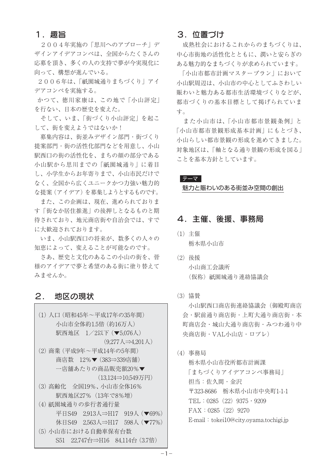## 1. 趣旨

2004年実施の「思川へのアプローチ」デ ザインアイデアコンペは、全国からたくさんの 応募を頂き、多くの人の支持で夢が今実現化に 向って、構想が進んでいる。

2006年は、「祇園城通りまちづくり」アイ デアコンペを実施する。

かつて、徳川家康は、この地で「小山評定」 を行ない、日本の歴史を変えた。

そして、いま、「街づくり小山評定」を起こ して、街を変えようではないか!

慕集内容は、街並みデザイン部門・街づくり 提案部門・街の活性化部門などを用意し、小山 駅西口の街の活性化を、まちの顔の部分である 小山駅から思川までの「祇園城通り」に着目 し、小学生からお年寄りまで、小山市民だけで なく、全国から広くユニークかつ力強い魅力的 な提案(アイデア)を募集しようとするものです。

また、この企画は、現在、進められておりま す「街なか居住推進」の後押しとなるものと期 待されており、地元商店街や自治会では、すで に大歓迎されております。

いま、小山駅西口の将来が、数多くの人々の 知恵によって、変えることが可能なのです。

さあ、歴史と文化のあるこの小山の街を、皆 様のアイデアで夢と希望のある街に塗り替えて みませんか。

#### 地区の現状  $\mathbf{2}$ .

| (1) 人口 (昭和45年~平成17年の35年間)                                 |  |
|-----------------------------------------------------------|--|
| 小山市全体約1.5倍 (約16万人)                                        |  |
| 駅西地区 1/2以下 (▼5,076人)                                      |  |
| $(9,277 \,\mathrm{\AA} \rightarrow 4,201 \,\mathrm{\AA})$ |  |
| (2) 商業 (平成9年~平成14年の5年間)                                   |  |
| 商店数 12%▼ (383⇒339店舗)                                      |  |
| 一店舗あたりの商品販売額20%▼                                          |  |
| $(13.124\Rightarrow 10.549\text{/F})$                     |  |
| (3) 高齢化 全国19%、小山市全体16%                                    |  |
| 駅西地区27% (13年で8%増)                                         |  |
| (4) 祇園城通りの歩行者通行量                                          |  |
| 平日S49 2,913人⇒H17 919人 (▼69%                               |  |
| 休日S49 2.563人⇒H17 598人 (▼77%                               |  |
| (5) 小山市における自動車保有台数                                        |  |
| S51 22,747台⇒H16 84,114台 (3.7倍)                            |  |
|                                                           |  |

## 3. 位置づけ

成熟社会におけるこれからのまちづくりは、 中心市街地の活性化とともに、潤いと安らぎの ある魅力的なまちづくりが求められています。

「小山市都市計画マスタープラン」において 小山駅周辺は、小山市の中心としてふさわしい 賑わいと魅力ある都市生活環境づくりなどが、 都市づくりの基本目標として掲げられていま す。

また小山市は、「小山市都市景観条例」と 「小山市都市景観形成基本計画」にもとづき、 小山らしい都市景観の形成を進めてきました。 対象地区は、「軸となる通り景観の形成を図る| ことを基本方針としています。

#### テーマー

魅力と賑わいのある街並み空間の創出

## 4. 主催、後援、事務局

- (1) 主催 栃木県小山市
- (2) 後援

小山商工会議所 (仮称) 祇園城通り連絡協議会

#### (3) 協賛

小山駅西口商店街連絡協議会(御殿町商店 会・駅前通り商店街・上町大通り商店街・本 町商店会・城山大通り商店街・みつわ通り中 央商店街·VAL小山店·ロブレ)

(4) 事務局

栃木県小山市役所都市計画課 「まちづくりアイデアコンペ事務局」 担当: 佐久間 · 金沢 〒323-8686 栃木県小山市中央町1-1-1 TEL:  $0285$  (22)  $9375 \cdot 9209$  $FAX : 0285 (22) 9270$ E-mail: tokei10@city.oyama.tochigi.jp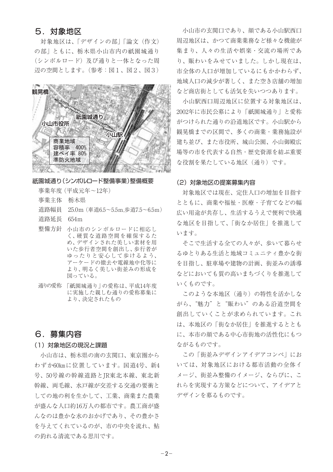## 5. 対象地区

対象地区は、「デザインの部」「論文 (作文) の部」ともに、栃木県小山市内の祇園城通り (シンボルロード) 及び通りと一体となった周 辺の空間とします。(参考:図1、図2、図3)



#### 祇園城通り(シンボルロード整備事業)整備概要

事業年度 (平成元年~12年)

事業主体 栃木県

道路幅員 25.0m (車道6.5~5.5m.歩道7.5~6.5m)

- 道路延長 654m
- 整備方針 小山市のシンボルロードに相応し く、硬質な道路空間を確保するた め、デザインされた美しい素材を用 いた歩行者空間を創出し、歩行者が ゆったりと安心して歩けるよう、 アーケードの撤去や電線地中化等に より、明るく美しい街並みの形成を 図っている。
- 通りの愛称 「祇園城通り | の愛称は、平成14年度 に実施した親しむ通りの愛称募集に より、決定されたもの

## 6. 募集内容

#### (1) 対象地区の現況と課題

小山市は、栃木県の南の玄関口、東京圏から わずか60kmに位置しています。国道4号、新4 号、50号線の幹線道路とIR東北本線、東北新 幹線、両毛線、水戸線が交差する交通の要衝と しての地の利を生かして、工業、商業また農業 が盛んな人口約16万人の都市です。農工商が盛 んなのは豊かな水のおかげであり、その豊かさ を与えてくれているのが、市の中央を流れ、鮎 の釣れる清流である思川です。

小山市の玄関口であり、顔である小山駅西口 周辺地区は、かつて商業業務など様々な機能が 集まり、人々の生活や娯楽・交流の場所であ り、賑わいをみせていました。しかし現在は、 市全体の人口が増加しているにもかかわらず、 地域人口の減少が著しく、また空き店舗の増加 など商店街としても活気を失いつつあります。

小山駅西口周辺地区に位置する対象地区は、 2002年に市民公募により「祇園城通り」と愛称 がつけられた通りの沿道地区です。小山駅から 観晃橋までの区間で、多くの商業・業務施設が 建ち並び、また市役所、城山公園、小山御殿広 場等の市を代表する自然・歴史資源を結ぶ重要 な役割を果たしている地区(通り)です。

#### (2) 対象地区の提案募集内容

対象地区では現在、定住人口の増加を目指す とともに、商業や福祉・医療・子育てなどの幅 広い用途が共存し、生活するうえで便利で快適 な地区を目指して、「街なか居住」を推進して います。

そこで生活する全ての人々が、歩いて暮らせ るゆとりある生活と地域コミュニティ豊かな街 を目指し、駐車場や建物の計画、街並みの誘導 などにおいても質の高いまちづくりを推進して いくものです。

このような本地区(通り)の特性を活かしな がら、"魅力"と"賑わい"のある沿道空間を 創出していくことが求められています。これ は、本地区の「街なか居住」を推進するととも に、本市の顔である中心市街地の活性化にもつ ながるものです。

この「街並みデザインアイデアコンペ」にお いては、対象地区における都市活動の全体イ メージ、街並み整備のイメージ、ならびに、こ れらを実現する方策などについて、アイデアと デザインを募るものです。